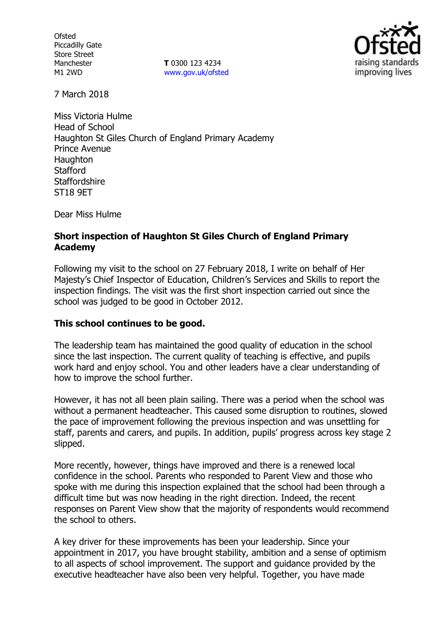**Ofsted** Piccadilly Gate Store Street Manchester M1 2WD

**T** 0300 123 4234 www.gov.uk/ofsted



7 March 2018

Miss Victoria Hulme Head of School Haughton St Giles Church of England Primary Academy Prince Avenue **Haughton Stafford Staffordshire** ST18 9ET

Dear Miss Hulme

### **Short inspection of Haughton St Giles Church of England Primary Academy**

Following my visit to the school on 27 February 2018, I write on behalf of Her Majesty's Chief Inspector of Education, Children's Services and Skills to report the inspection findings. The visit was the first short inspection carried out since the school was judged to be good in October 2012.

### **This school continues to be good.**

The leadership team has maintained the good quality of education in the school since the last inspection. The current quality of teaching is effective, and pupils work hard and enjoy school. You and other leaders have a clear understanding of how to improve the school further.

However, it has not all been plain sailing. There was a period when the school was without a permanent headteacher. This caused some disruption to routines, slowed the pace of improvement following the previous inspection and was unsettling for staff, parents and carers, and pupils. In addition, pupils' progress across key stage 2 slipped.

More recently, however, things have improved and there is a renewed local confidence in the school. Parents who responded to Parent View and those who spoke with me during this inspection explained that the school had been through a difficult time but was now heading in the right direction. Indeed, the recent responses on Parent View show that the majority of respondents would recommend the school to others.

A key driver for these improvements has been your leadership. Since your appointment in 2017, you have brought stability, ambition and a sense of optimism to all aspects of school improvement. The support and guidance provided by the executive headteacher have also been very helpful. Together, you have made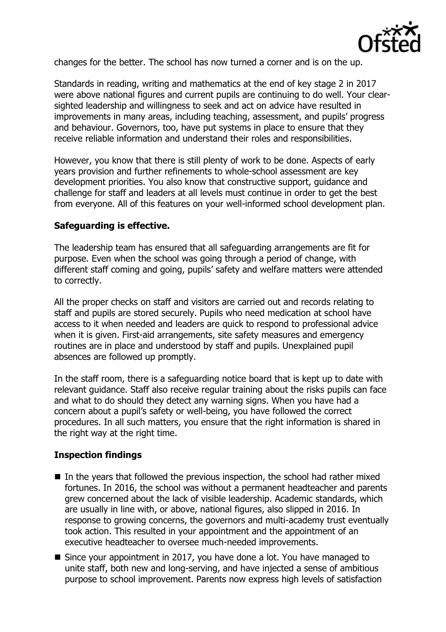

changes for the better. The school has now turned a corner and is on the up.

Standards in reading, writing and mathematics at the end of key stage 2 in 2017 were above national figures and current pupils are continuing to do well. Your clearsighted leadership and willingness to seek and act on advice have resulted in improvements in many areas, including teaching, assessment, and pupils' progress and behaviour. Governors, too, have put systems in place to ensure that they receive reliable information and understand their roles and responsibilities.

However, you know that there is still plenty of work to be done. Aspects of early years provision and further refinements to whole-school assessment are key development priorities. You also know that constructive support, guidance and challenge for staff and leaders at all levels must continue in order to get the best from everyone. All of this features on your well-informed school development plan.

## **Safeguarding is effective.**

The leadership team has ensured that all safeguarding arrangements are fit for purpose. Even when the school was going through a period of change, with different staff coming and going, pupils' safety and welfare matters were attended to correctly.

All the proper checks on staff and visitors are carried out and records relating to staff and pupils are stored securely. Pupils who need medication at school have access to it when needed and leaders are quick to respond to professional advice when it is given. First-aid arrangements, site safety measures and emergency routines are in place and understood by staff and pupils. Unexplained pupil absences are followed up promptly.

In the staff room, there is a safeguarding notice board that is kept up to date with relevant guidance. Staff also receive regular training about the risks pupils can face and what to do should they detect any warning signs. When you have had a concern about a pupil's safety or well-being, you have followed the correct procedures. In all such matters, you ensure that the right information is shared in the right way at the right time.

# **Inspection findings**

- $\blacksquare$  In the years that followed the previous inspection, the school had rather mixed fortunes. In 2016, the school was without a permanent headteacher and parents grew concerned about the lack of visible leadership. Academic standards, which are usually in line with, or above, national figures, also slipped in 2016. In response to growing concerns, the governors and multi-academy trust eventually took action. This resulted in your appointment and the appointment of an executive headteacher to oversee much-needed improvements.
- Since your appointment in 2017, you have done a lot. You have managed to unite staff, both new and long-serving, and have injected a sense of ambitious purpose to school improvement. Parents now express high levels of satisfaction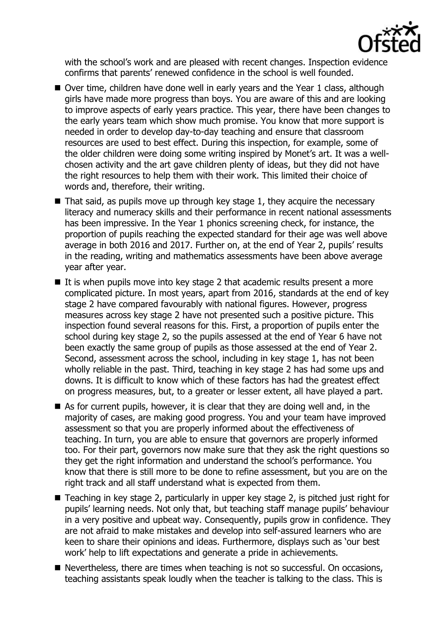

with the school's work and are pleased with recent changes. Inspection evidence confirms that parents' renewed confidence in the school is well founded.

- Over time, children have done well in early years and the Year 1 class, although girls have made more progress than boys. You are aware of this and are looking to improve aspects of early years practice. This year, there have been changes to the early years team which show much promise. You know that more support is needed in order to develop day-to-day teaching and ensure that classroom resources are used to best effect. During this inspection, for example, some of the older children were doing some writing inspired by Monet's art. It was a wellchosen activity and the art gave children plenty of ideas, but they did not have the right resources to help them with their work. This limited their choice of words and, therefore, their writing.
- $\blacksquare$  That said, as pupils move up through key stage 1, they acquire the necessary literacy and numeracy skills and their performance in recent national assessments has been impressive. In the Year 1 phonics screening check, for instance, the proportion of pupils reaching the expected standard for their age was well above average in both 2016 and 2017. Further on, at the end of Year 2, pupils' results in the reading, writing and mathematics assessments have been above average year after year.
- If is when pupils move into key stage 2 that academic results present a more complicated picture. In most years, apart from 2016, standards at the end of key stage 2 have compared favourably with national figures. However, progress measures across key stage 2 have not presented such a positive picture. This inspection found several reasons for this. First, a proportion of pupils enter the school during key stage 2, so the pupils assessed at the end of Year 6 have not been exactly the same group of pupils as those assessed at the end of Year 2. Second, assessment across the school, including in key stage 1, has not been wholly reliable in the past. Third, teaching in key stage 2 has had some ups and downs. It is difficult to know which of these factors has had the greatest effect on progress measures, but, to a greater or lesser extent, all have played a part.
- $\blacksquare$  As for current pupils, however, it is clear that they are doing well and, in the majority of cases, are making good progress. You and your team have improved assessment so that you are properly informed about the effectiveness of teaching. In turn, you are able to ensure that governors are properly informed too. For their part, governors now make sure that they ask the right questions so they get the right information and understand the school's performance. You know that there is still more to be done to refine assessment, but you are on the right track and all staff understand what is expected from them.
- Teaching in key stage 2, particularly in upper key stage 2, is pitched just right for pupils' learning needs. Not only that, but teaching staff manage pupils' behaviour in a very positive and upbeat way. Consequently, pupils grow in confidence. They are not afraid to make mistakes and develop into self-assured learners who are keen to share their opinions and ideas. Furthermore, displays such as 'our best work' help to lift expectations and generate a pride in achievements.
- Nevertheless, there are times when teaching is not so successful. On occasions, teaching assistants speak loudly when the teacher is talking to the class. This is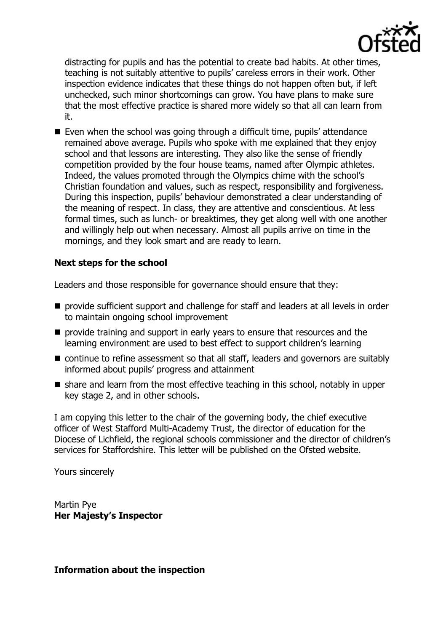

distracting for pupils and has the potential to create bad habits. At other times, teaching is not suitably attentive to pupils' careless errors in their work. Other inspection evidence indicates that these things do not happen often but, if left unchecked, such minor shortcomings can grow. You have plans to make sure that the most effective practice is shared more widely so that all can learn from it.

■ Even when the school was going through a difficult time, pupils' attendance remained above average. Pupils who spoke with me explained that they enjoy school and that lessons are interesting. They also like the sense of friendly competition provided by the four house teams, named after Olympic athletes. Indeed, the values promoted through the Olympics chime with the school's Christian foundation and values, such as respect, responsibility and forgiveness. During this inspection, pupils' behaviour demonstrated a clear understanding of the meaning of respect. In class, they are attentive and conscientious. At less formal times, such as lunch- or breaktimes, they get along well with one another and willingly help out when necessary. Almost all pupils arrive on time in the mornings, and they look smart and are ready to learn.

## **Next steps for the school**

Leaders and those responsible for governance should ensure that they:

- **P** provide sufficient support and challenge for staff and leaders at all levels in order to maintain ongoing school improvement
- $\blacksquare$  provide training and support in early years to ensure that resources and the learning environment are used to best effect to support children's learning
- continue to refine assessment so that all staff, leaders and governors are suitably informed about pupils' progress and attainment
- $\blacksquare$  share and learn from the most effective teaching in this school, notably in upper key stage 2, and in other schools.

I am copying this letter to the chair of the governing body, the chief executive officer of West Stafford Multi-Academy Trust, the director of education for the Diocese of Lichfield, the regional schools commissioner and the director of children's services for Staffordshire. This letter will be published on the Ofsted website.

Yours sincerely

Martin Pye **Her Majesty's Inspector**

**Information about the inspection**